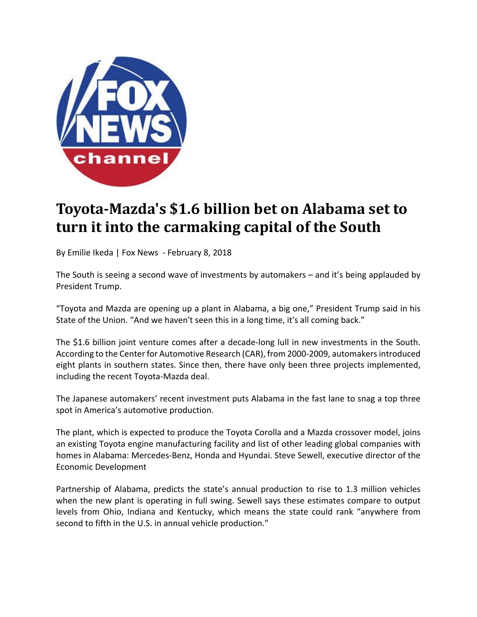

## **Toyota‐Mazda's \$1.6 billion bet on Alabama set to turn it into the carmaking capital of the South**

By Emilie Ikeda | Fox News ‐ February 8, 2018

The South is seeing a second wave of investments by automakers – and it's being applauded by President Trump.

"Toyota and Mazda are opening up a plant in Alabama, a big one," President Trump said in his State of the Union. "And we haven't seen this in a long time, it's all coming back."

The \$1.6 billion joint venture comes after a decade-long lull in new investments in the South. According to the Centerfor Automotive Research (CAR), from 2000‐2009, automakersintroduced eight plants in southern states. Since then, there have only been three projects implemented, including the recent Toyota‐Mazda deal.

The Japanese automakers' recent investment puts Alabama in the fast lane to snag a top three spot in America's automotive production.

The plant, which is expected to produce the Toyota Corolla and a Mazda crossover model, joins an existing Toyota engine manufacturing facility and list of other leading global companies with homes in Alabama: Mercedes‐Benz, Honda and Hyundai. Steve Sewell, executive director of the Economic Development

Partnership of Alabama, predicts the state's annual production to rise to 1.3 million vehicles when the new plant is operating in full swing. Sewell says these estimates compare to output levels from Ohio, Indiana and Kentucky, which means the state could rank "anywhere from second to fifth in the U.S. in annual vehicle production."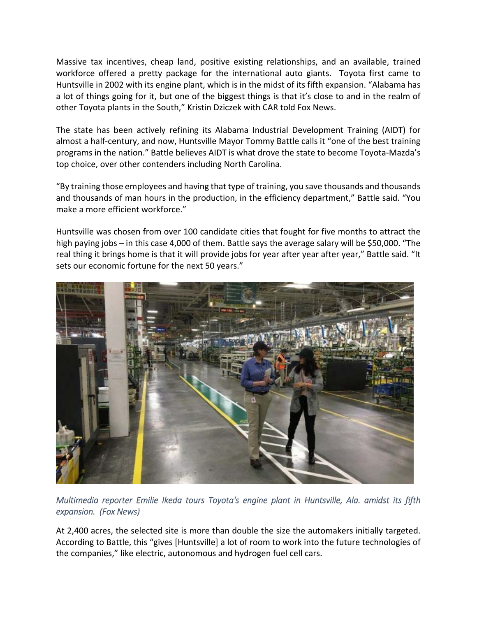Massive tax incentives, cheap land, positive existing relationships, and an available, trained workforce offered a pretty package for the international auto giants. Toyota first came to Huntsville in 2002 with its engine plant, which is in the midst of its fifth expansion. "Alabama has a lot of things going for it, but one of the biggest things is that it's close to and in the realm of other Toyota plants in the South," Kristin Dziczek with CAR told Fox News.

The state has been actively refining its Alabama Industrial Development Training (AIDT) for almost a half-century, and now, Huntsville Mayor Tommy Battle calls it "one of the best training programs in the nation." Battle believes AIDT is what drove the state to become Toyota‐Mazda's top choice, over other contenders including North Carolina.

"By training those employees and having that type of training, you save thousands and thousands and thousands of man hours in the production, in the efficiency department," Battle said. "You make a more efficient workforce."

Huntsville was chosen from over 100 candidate cities that fought for five months to attract the high paying jobs – in this case 4,000 of them. Battle says the average salary will be \$50,000. "The real thing it brings home is that it will provide jobs for year after year after year," Battle said. "It sets our economic fortune for the next 50 years."



*Multimedia reporter Emilie Ikeda tours Toyota's engine plant in Huntsville, Ala. amidst its fifth expansion. (Fox News)* 

At 2,400 acres, the selected site is more than double the size the automakers initially targeted. According to Battle, this "gives [Huntsville] a lot of room to work into the future technologies of the companies," like electric, autonomous and hydrogen fuel cell cars.